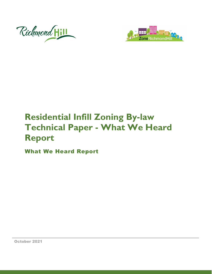



# **Residential Infill Zoning By-law Technical Paper - What We Heard Report**

What We Heard Report

October 2021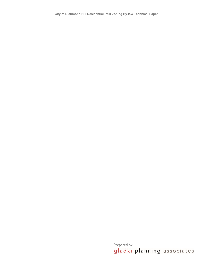Prepared by:<br>gladki planning associates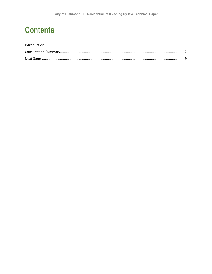# **Contents**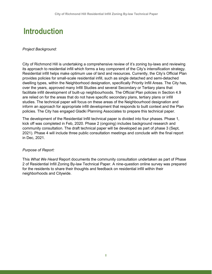# <span id="page-3-0"></span>**Introduction**

#### *Project Background:*

City of Richmond Hill is undertaking a comprehensive review of it's zoning by-laws and reviewing its approach to residential infill which forms a key component of the City's intensification strategy. Residential infill helps make optimum use of land and resources. Currently, the City's Official Plan provides policies for small-scale residential infill, such as single detached and semi-detached dwelling types, within the Neighborhood designation, specifically Priority Infill Areas. The City has, over the years, approved many Infill Studies and several Secondary or Tertiary plans that facilitate infill development of built-up neighbourhoods. The Official Plan policies in Section 4.9 are relied on for the areas that do not have specific secondary plans, tertiary plans or infill studies. The technical paper will focus on these areas of the Neighbourhood designation and inform an approach for appropriate infill development that responds to built context and the Plan policies. The City has engaged Gladki Planning Associates to prepare this technical paper.

The development of the Residential Infill technical paper is divided into four phases. Phase 1, kick off was completed in Feb, 2020. Phase 2 (ongoing) includes background research and community consultation. The draft technical paper will be developed as part of phase 3 (Sept, 2021). Phase 4 will include three public consultation meetings and conclude with the final report in Dec, 2021.

#### *Purpose of Report:*

This *What We Heard* Report documents the community consultation undertaken as part of Phase 2 of Residential Infill Zoning By-law Technical Paper. A nine-question online survey was prepared for the residents to share their thoughts and feedback on residential infill within their neighborhoods and Citywide.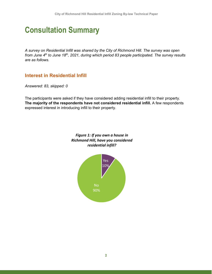# <span id="page-4-0"></span>**Consultation Summary**

*A survey on Residential Infill was shared by the City of Richmond Hill. The survey was open from June 4th to June 18th, 2021, during which period 83 people participated. The survey results are as follows.*

## **Interest in Residential Infill**

*Answered: 83, skipped: 0*

The participants were asked if they have considered adding residential infill to their property. **The majority of the respondents have not considered residential infill.** A few respondents expressed interest in introducing infill to their property.



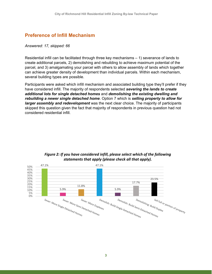## **Preference of Infill Mechanism**

#### *Answered: 17, skipped: 66*

Residential infill can be facilitated through three key mechanisms – 1) severance of lands to create additional parcels, 2) demolishing and rebuilding to achieve maximum potential of the parcel, and 3) amalgamating your parcel with others to allow assembly of lands which together can achieve greater density of development than individual parcels. Within each mechanism, several building types are possible.

Participants were asked which infill mechanism and associated building type they'll prefer if they have considered infill. The majority of respondents selected *severing the lands to create additional lots for single detached homes* and *demolishing the existing dwelling and rebuilding a newer single detached home*. Option 7 which is *selling property to allow for larger assembly and redevelopment* was the next clear choice. The majority of participants skipped this question given the fact that majority of respondents in previous question had not considered residential infill.



### *Figure 2: If you have considered infill, please select which of the following statements that apply (please check all that apply).*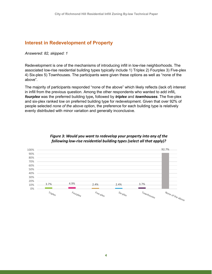# **Interest in Redevelopment of Property**

*Answered: 82, skipped: 1*

Redevelopment is one of the mechanisms of introducing infill in low-rise neighborhoods. The associated low-rise residential building types typically include 1) Triplex 2) Fourplex 3) Five-plex 4) Six-plex 5) Townhouses. The participants were given these options as well as "none of the above".

The majority of participants responded "none of the above" which likely reflects (lack of) interest in infill from the previous question. Among the other respondents who wanted to add infill**,**  *fourplex* was the preferred building type**,** followed by *triplex* and *townhouses*. The five-plex and six-plex ranked low on preferred building type for redevelopment. Given that over 92% of people selected *none of the above* option, the preference for each building type is relatively evenly distributed with minor variation and generally inconclusive.



#### *Figure 3: Would you want to redevelop your property into any of the following low-rise residential building types (select all that apply)?*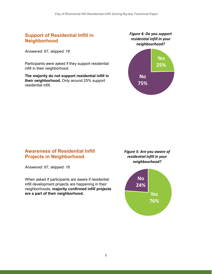## **Support of Residential Infill in Neighborhood**

*Answered: 67, skipped: 16*

Participants were asked if they support residential infill in their neighborhood.

**The majority do not support residential infill in their neighborhood.** Only around 25% support residential infill.

*Figure 4: Do you support residential infill in your neighbourhood?*



## **Awareness of Residential Infill Projects in Neighborhood**

*Answered: 67, skipped: 16*

When asked if participants are aware if residential infill development projects are happening in their neighborhoods, **majority confirmed infill projects are a part of their neighborhood.** 

*Figure 5: Are you aware of residential infill in your neighbourhood?*

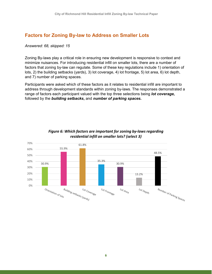## **Factors for Zoning By-law to Address on Smaller Lots**

#### *Answered: 68, skipped: 15*

Zoning By-laws play a critical role in ensuring new development is responsive to context and minimize nuisances. For introducing residential infill on smaller lots, there are a number of factors that zoning by-law can regulate. Some of these key regulations include 1) orientation of lots, 2) the building setbacks (yards), 3) lot coverage, 4) lot frontage, 5) lot area, 6) lot depth, and 7) number of parking spaces.

Participants were asked which of these factors as it relates to residential infill are important to address through development standards within zoning by-laws. The responses demonstrated a range of factors each participant valued with the top three selections being *lot coverage***,**  followed by the *building setbacks***,** and *number of parking spaces***.** 



#### *Figure 6: Which factors are important for zoning by-laws regarding residential infill on smaller lots? (select 3)*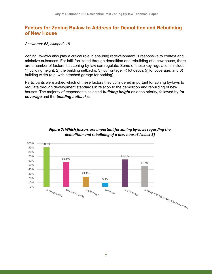## **Factors for Zoning By-law to Address for Demolition and Rebuilding of New House**

#### *Answered: 65, skipped: 18*

Zoning By-laws also play a critical role in ensuring redevelopment is responsive to context and minimize nuisances. For infill facilitated through demolition and rebuilding of a new house, there are a number of factors that zoning by-law can regulate. Some of these key regulations include 1) building height, 2) the building setbacks, 3) lot frontage, 4) lot depth, 5) lot coverage, and 6) building width (e.g. with attached garage for parking).

Participants were asked which of these factors they considered important for zoning by-laws to regulate through development standards in relation to the demolition and rebuilding of new houses. The majority of respondents selected *building height* as a top priority, followed by *lot coverage* and the *building setbacks***.** 



### *Figure 7: Which factors are important for zoning by-laws regarding the demolition and rebuilding of a new house? (select 3)*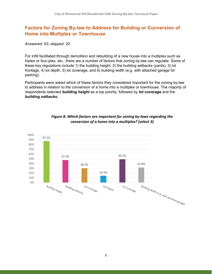# **Factors for Zoning By-law to Address for Building or Conversion of Home into Multiplex or Townhouse**

*Answered: 63, skipped: 20*

For infill facilitated through demolition and rebuilding of a new house into a multiplex such as triplex or four-plex, etc., there are a number of factors that zoning by-law can regulate. Some of these key regulations include 1) the building height, 2) the building setbacks (yards), 3) lot frontage, 4) lot depth, 5) lot coverage, and 6) building width (e.g. with attached garage for parking).

Participants were asked which of these factors they considered important for the zoning by-law to address in relation to the conversion of a home into a multiplex or townhouse. The majority of respondents selected *building height* as a top priority, followed by *lot coverage* and the *building setbacks***.**



### *Figure 8: Which factors are important for zoning by-laws regarding the conversion of a home into a multiplex? (select 3)*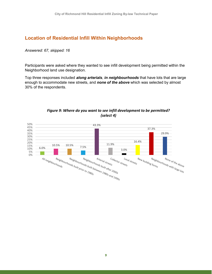## **Location of Residential Infill Within Neighborhoods**

#### *Answered: 67, skipped: 16*

Participants were asked where they wanted to see infill development being permitted within the Neighborhood land use designation.

Top three responses included *along arterials*, *in neighbourhoods* that have lots that are large enough to accommodate new streets, and *none of the above* which was selected by almost 30% of the respondents.

<span id="page-11-0"></span>

### *Figure 9: Where do you want to see infill development to be permitted? (select 4)*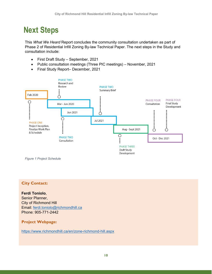# **Next Steps**

This *What We Heard* Report concludes the community consultation undertaken as part of Phase 2 of Residential Infill Zoning By-law Technical Paper. The next steps in the Study and consultation include:

- First Draft Study September, 2021
- Public consultation meetings (Three PIC meetings) November, 2021
- Final Study Report– December, 2021



*Figure 1 Project Schedule*

## • **City Contact:**

**Ferdi Toniolo**, Senior Planner, City of Richmond Hill Email: [ferdi.toniolo@richmondhill.ca](mailto:ferdi.toniolo@richmondhill.ca) Phone: 905-771-2442

### **Project Webpage:**

<https://www.richmondhill.ca/en/zone-richmond-hill.aspx>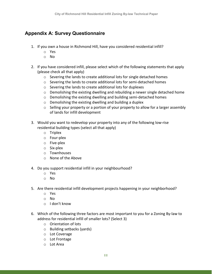## **Appendix A: Survey Questionnaire**

- 1. If you own a house in Richmond Hill, have you considered residential infill?
	- o Yes
	- o No
- 2. If you have considered infill, please select which of the following statements that apply (please check all that apply)
	- o Severing the lands to create additional lots for single detached homes
	- o Severing the lands to create additional lots for semi-detached homes
	- o Severing the lands to create additional lots for duplexes
	- o Demolishing the existing dwelling and rebuilding a newer single detached home
	- o Demolishing the existing dwelling and building semi-detached homes
	- o Demolishing the existing dwelling and building a duplex
	- o Selling your property or a portion of your property to allow for a larger assembly of lands for infill development
- 3. Would you want to redevelop your property into any of the following low-rise residential building types (select all that apply)
	- o Triplex
	- o Four-plex
	- o Five-plex
	- o Six-plex
	- o Townhouses
	- o None of the Above
- 4. Do you support residential infill in your neighbourhood?
	- o Yes
	- o No
- 5. Are there residential infill development projects happening in your neighborhood?
	- o Yes
	- o No
	- o I don't know
- 6. Which of the following three factors are most important to you for a Zoning By-law to address for residential infill of smaller lots? (Select 3)
	- o Orientation of lots
	- o Building setbacks (yards)
	- o Lot Coverage
	- o Lot Frontage
	- o Lot Area